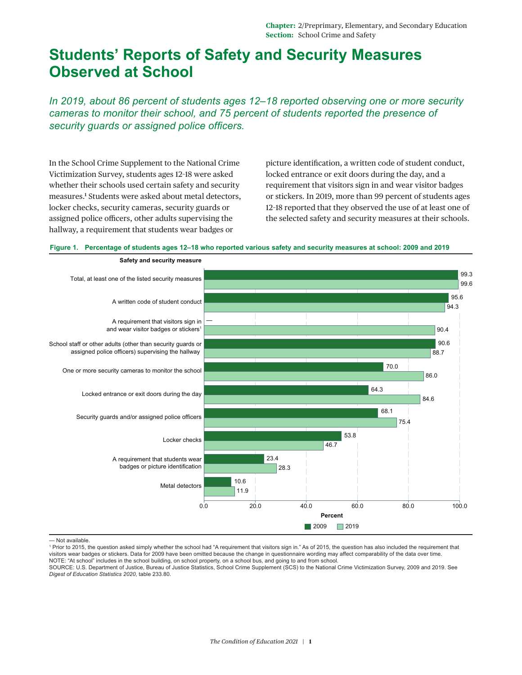## **Students' Reports of Safety and Security Measures Observed at School**

*In 2019, about 86 percent of students ages 12–18 reported observing one or more security cameras to monitor their school, and 75 percent of students reported the presence of security guards or assigned police officers.*

In the School Crime Supplement to the National Crime Victimization Survey, students ages 12–18 were asked whether their schools used certain safety and security measures[.1](#page-1-0) Students were asked about metal detectors, locker checks, security cameras, security guards or assigned police officers, other adults supervising the hallway, a requirement that students wear badges or

picture identification, a written code of student conduct, locked entrance or exit doors during the day, and a requirement that visitors sign in and wear visitor badges or stickers. In 2019, more than 99 percent of students ages 12–18 reported that they observed the use of at least one of the selected safety and security measures at their schools.





<sup>—</sup> Not available.

<sup>1</sup> Prior to 2015, the question asked simply whether the school had "A requirement that visitors sign in." As of 2015, the question has also included the requirement that visitors wear badges or stickers. Data for 2009 have been omitted because the change in questionnaire wording may affect comparability of the data over time. NOTE: "At school" includes in the school building, on school property, on a school bus, and going to and from school.

SOURCE: U.S. Department of Justice, Bureau of Justice Statistics, School Crime Supplement (SCS) to the National Crime Victimization Survey, 2009 and 2019. See *Digest of Education Statistics 2020*, table 233.80.